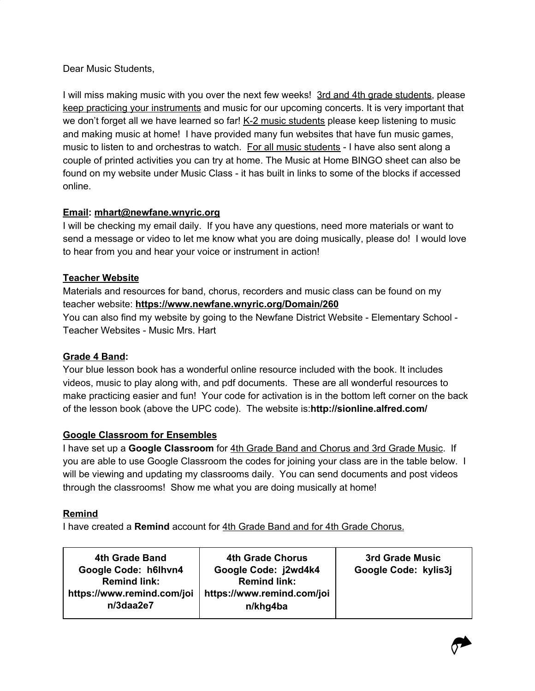Dear Music Students,

I will miss making music with you over the next few weeks! 3rd and 4th grade students, please keep practicing your instruments and music for our upcoming concerts. It is very important that we don't forget all we have learned so far! K-2 music students please keep listening to music and making music at home! I have provided many fun websites that have fun music games, music to listen to and orchestras to watch. For all music students - I have also sent along a couple of printed activities you can try at home. The Music at Home BINGO sheet can also be found on my website under Music Class - it has built in links to some of the blocks if accessed online.

## **Email: [mhart@newfane.wnyric.org](mailto:mhart@newfane.wnyric.org)**

I will be checking my email daily. If you have any questions, need more materials or want to send a message or video to let me know what you are doing musically, please do! I would love to hear from you and hear your voice or instrument in action!

### **Teacher Website**

Materials and resources for band, chorus, recorders and music class can be found on my teacher website: **<https://www.newfane.wnyric.org/Domain/260>** You can also find my website by going to the Newfane District Website - Elementary School - Teacher Websites - Music Mrs. Hart

### **Grade 4 Band:**

Your blue lesson book has a wonderful online resource included with the book. It includes videos, music to play along with, and pdf documents. These are all wonderful resources to make practicing easier and fun! Your code for activation is in the bottom left corner on the back of the lesson book (above the UPC code). The website is:**http://sionline.alfred.com/**

### **Google Classroom for Ensembles**

I have set up a **Google Classroom** for 4th Grade Band and Chorus and 3rd Grade Music. If you are able to use Google Classroom the codes for joining your class are in the table below. I will be viewing and updating my classrooms daily. You can send documents and post videos through the classrooms! Show me what you are doing musically at home!

### **Remind**

I have created a **Remind** account for 4th Grade Band and for 4th Grade Chorus.

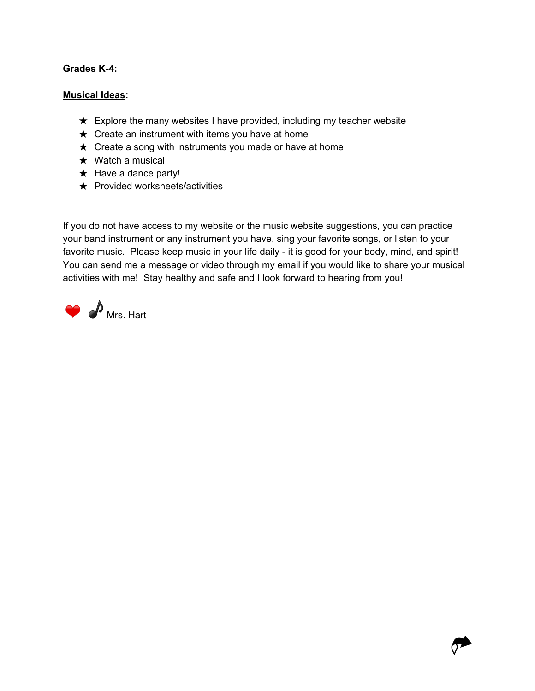#### **Grades K-4:**

#### **Musical Ideas:**

- $\star$  Explore the many websites I have provided, including my teacher website
- $\star$  Create an instrument with items you have at home
- $\star$  Create a song with instruments you made or have at home
- $\star$  Watch a musical
- $\star$  Have a dance party!
- $\star$  Provided worksheets/activities

If you do not have access to my website or the music website suggestions, you can practice your band instrument or any instrument you have, sing your favorite songs, or listen to your favorite music. Please keep music in your life daily - it is good for your body, mind, and spirit! You can send me a message or video through my email if you would like to share your musical activities with me! Stay healthy and safe and I look forward to hearing from you!



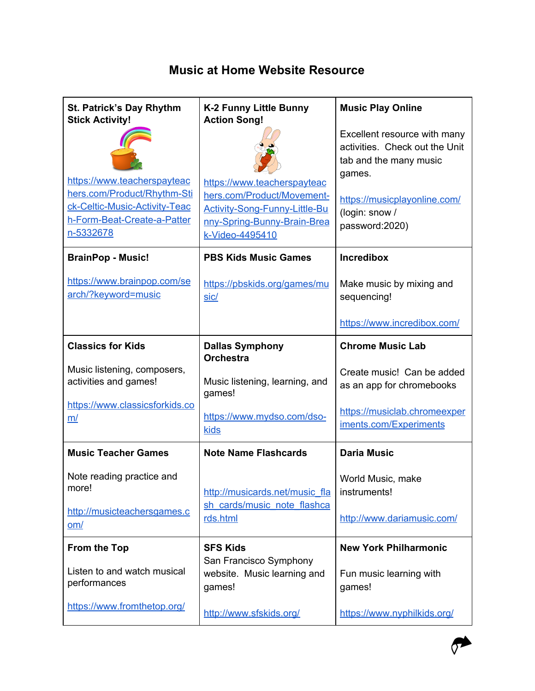# **Music at Home Website Resource**

| St. Patrick's Day Rhythm<br><b>Stick Activity!</b>                                                                                      | <b>K-2 Funny Little Bunny</b><br><b>Action Song!</b>                                                                                         | <b>Music Play Online</b>                                                                 |
|-----------------------------------------------------------------------------------------------------------------------------------------|----------------------------------------------------------------------------------------------------------------------------------------------|------------------------------------------------------------------------------------------|
|                                                                                                                                         |                                                                                                                                              | Excellent resource with many<br>activities. Check out the Unit<br>tab and the many music |
| https://www.teacherspayteac<br>hers.com/Product/Rhythm-Sti<br>ck-Celtic-Music-Activity-Teac<br>h-Form-Beat-Create-a-Patter<br>n-5332678 | https://www.teacherspayteac<br>hers.com/Product/Movement-<br>Activity-Song-Funny-Little-Bu<br>nny-Spring-Bunny-Brain-Brea<br>k-Video-4495410 | games.<br>https://musicplayonline.com/<br>(login: snow /<br>password:2020)               |
| <b>BrainPop - Music!</b>                                                                                                                | <b>PBS Kids Music Games</b>                                                                                                                  | <b>Incredibox</b>                                                                        |
| https://www.brainpop.com/se<br>arch/?keyword=music                                                                                      | https://pbskids.org/games/mu<br>sic/                                                                                                         | Make music by mixing and<br>sequencing!                                                  |
|                                                                                                                                         |                                                                                                                                              | https://www.incredibox.com/                                                              |
| <b>Classics for Kids</b>                                                                                                                | <b>Dallas Symphony</b><br><b>Orchestra</b>                                                                                                   | <b>Chrome Music Lab</b>                                                                  |
| Music listening, composers,<br>activities and games!                                                                                    | Music listening, learning, and<br>games!                                                                                                     | Create music! Can be added<br>as an app for chromebooks                                  |
| https://www.classicsforkids.co<br>m/                                                                                                    | https://www.mydso.com/dso-<br>kids                                                                                                           | https://musiclab.chromeexper<br>iments.com/Experiments                                   |
| <b>Music Teacher Games</b>                                                                                                              | <b>Note Name Flashcards</b>                                                                                                                  | <b>Daria Music</b>                                                                       |
| Note reading practice and<br>more!                                                                                                      | http://musicards.net/music_fla                                                                                                               | World Music, make<br>instruments!                                                        |
| http://musicteachersgames.c<br>om/                                                                                                      | sh cards/music note flashca<br>rds.html                                                                                                      | http://www.dariamusic.com/                                                               |
| <b>From the Top</b>                                                                                                                     | <b>SFS Kids</b>                                                                                                                              | <b>New York Philharmonic</b>                                                             |
| Listen to and watch musical<br>performances                                                                                             | San Francisco Symphony<br>website. Music learning and<br>games!                                                                              | Fun music learning with<br>games!                                                        |
| https://www.fromthetop.org/                                                                                                             | http://www.sfskids.org/                                                                                                                      | https://www.nyphilkids.org/                                                              |